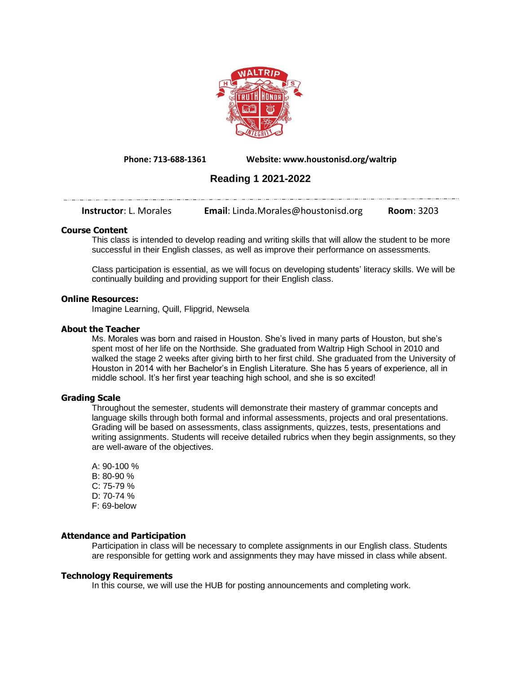

**Phone: 713-688-1361 Website: www.houstonisd.org/waltrip**

# **Reading 1 2021-2022**

**Instructor**: L. Morales **Email**: Linda.Morales@houstonisd.org **Room**: 3203

# **Course Content**

This class is intended to develop reading and writing skills that will allow the student to be more successful in their English classes, as well as improve their performance on assessments.

Class participation is essential, as we will focus on developing students' literacy skills. We will be continually building and providing support for their English class.

#### **Online Resources:**

Imagine Learning, Quill, Flipgrid, Newsela

# **About the Teacher**

Ms. Morales was born and raised in Houston. She's lived in many parts of Houston, but she's spent most of her life on the Northside. She graduated from Waltrip High School in 2010 and walked the stage 2 weeks after giving birth to her first child. She graduated from the University of Houston in 2014 with her Bachelor's in English Literature. She has 5 years of experience, all in middle school. It's her first year teaching high school, and she is so excited!

# **Grading Scale**

Throughout the semester, students will demonstrate their mastery of grammar concepts and language skills through both formal and informal assessments, projects and oral presentations. Grading will be based on assessments, class assignments, quizzes, tests, presentations and writing assignments. Students will receive detailed rubrics when they begin assignments, so they are well-aware of the objectives.

A: 90-100 % B: 80-90 % C: 75-79 % D: 70-74 % F: 69-below

#### **Attendance and Participation**

Participation in class will be necessary to complete assignments in our English class. Students are responsible for getting work and assignments they may have missed in class while absent.

#### **Technology Requirements**

In this course, we will use the HUB for posting announcements and completing work.